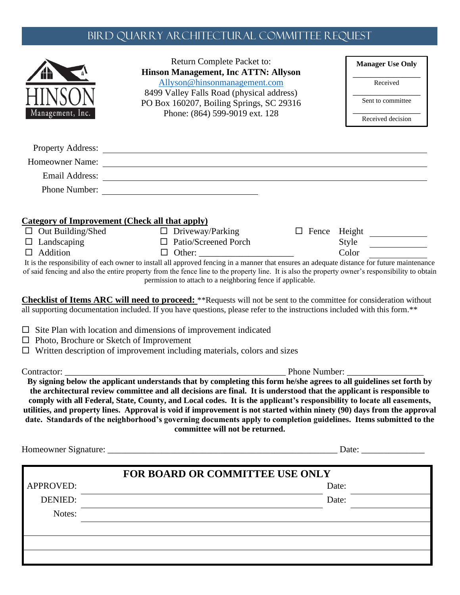## Bird Quarry ARCHITECTURAL COMMITTEE REQUEST

|                                                                   | Return Complete Packet to:<br><b>Hinson Management, Inc ATTN: Allyson</b>                                                                                                                                                                                                                                                                                                                                                                                                                                                         | <b>Manager Use Only</b>                          |
|-------------------------------------------------------------------|-----------------------------------------------------------------------------------------------------------------------------------------------------------------------------------------------------------------------------------------------------------------------------------------------------------------------------------------------------------------------------------------------------------------------------------------------------------------------------------------------------------------------------------|--------------------------------------------------|
|                                                                   | Allyson@hinsonmanagement.com                                                                                                                                                                                                                                                                                                                                                                                                                                                                                                      | Received                                         |
|                                                                   | 8499 Valley Falls Road (physical address)<br>PO Box 160207, Boiling Springs, SC 29316                                                                                                                                                                                                                                                                                                                                                                                                                                             | Sent to committee                                |
| Management, Inc.                                                  | Phone: (864) 599-9019 ext. 128                                                                                                                                                                                                                                                                                                                                                                                                                                                                                                    | Received decision                                |
|                                                                   |                                                                                                                                                                                                                                                                                                                                                                                                                                                                                                                                   |                                                  |
|                                                                   | Homeowner Name:                                                                                                                                                                                                                                                                                                                                                                                                                                                                                                                   |                                                  |
|                                                                   |                                                                                                                                                                                                                                                                                                                                                                                                                                                                                                                                   |                                                  |
|                                                                   | Email Address: Note and Address and Address and Address and Address and Address and Address and Address and Address and Address and Address and Address and Address and Address and Address and Address and Address and Addres<br>Phone Number:                                                                                                                                                                                                                                                                                   |                                                  |
| $\Box$ Out Building/Shed<br>$\Box$ Landscaping<br>$\Box$ Addition | <b>Category of Improvement (Check all that apply)</b><br>$\Box$ Driveway/Parking<br>$\Box$ Patio/Screened Porch<br>$\Box$ Other:<br>It is the responsibility of each owner to install all approved fencing in a manner that ensures an adequate distance for future maintenance<br>of said fencing and also the entire property from the fence line to the property line. It is also the property owner's responsibility to obtain                                                                                                | □ Fence Height <u>________</u><br>Style<br>Color |
|                                                                   | permission to attach to a neighboring fence if applicable.<br><b>Checklist of Items ARC will need to proceed:</b> **Requests will not be sent to the committee for consideration without<br>all supporting documentation included. If you have questions, please refer to the instructions included with this form.**<br>$\Box$ Site Plan with location and dimensions of improvement indicated                                                                                                                                   |                                                  |
|                                                                   | $\Box$ Written description of improvement including materials, colors and sizes                                                                                                                                                                                                                                                                                                                                                                                                                                                   |                                                  |
| $\Box$ Photo, Brochure or Sketch of Improvement                   |                                                                                                                                                                                                                                                                                                                                                                                                                                                                                                                                   |                                                  |
|                                                                   | the architectural review committee and all decisions are final. It is understood that the applicant is responsible to<br>comply with all Federal, State, County, and Local codes. It is the applicant's responsibility to locate all easements,<br>utilities, and property lines. Approval is void if improvement is not started within ninety (90) days from the approval<br>date. Standards of the neighborhood's governing documents apply to completion guidelines. Items submitted to the<br>committee will not be returned. |                                                  |
|                                                                   |                                                                                                                                                                                                                                                                                                                                                                                                                                                                                                                                   | Date:                                            |
|                                                                   | <b>FOR BOARD OR COMMITTEE USE ONLY</b>                                                                                                                                                                                                                                                                                                                                                                                                                                                                                            |                                                  |
| APPROVED:                                                         |                                                                                                                                                                                                                                                                                                                                                                                                                                                                                                                                   | Date:                                            |
| DENIED:                                                           |                                                                                                                                                                                                                                                                                                                                                                                                                                                                                                                                   | Date:                                            |
| Notes:                                                            |                                                                                                                                                                                                                                                                                                                                                                                                                                                                                                                                   |                                                  |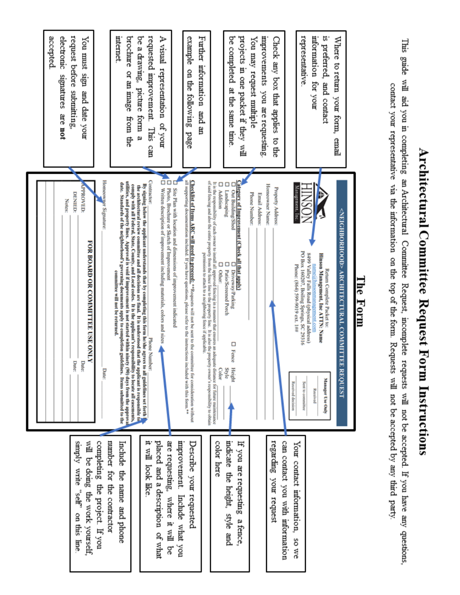|                                                                               | Notes:                                                                                                                                                                                                                                                                                                                                                                                                   | accepted<br>electronic<br>samatures<br>are not                           |
|-------------------------------------------------------------------------------|----------------------------------------------------------------------------------------------------------------------------------------------------------------------------------------------------------------------------------------------------------------------------------------------------------------------------------------------------------------------------------------------------------|--------------------------------------------------------------------------|
| will be doing the work yourself.<br>kiduus<br>write<br>"self"<br>on this line | PPROVED:<br><b>DENIED:</b><br>FOR BOARD OR COMMITTEE USE ONLY<br>Date:<br>Date:                                                                                                                                                                                                                                                                                                                          | request before submitting.<br>You must sign<br>and date your             |
| completing the project. If you                                                | Homeowner Signature:<br><b>Date:</b>                                                                                                                                                                                                                                                                                                                                                                     |                                                                          |
| number for the contractor<br>Include<br>the name and phone                    | utilities, and property lines. Approval is void if improvement is not started within ninety (90) days from the approval<br>date. Standards of the neighborhood's governing documents apply to completion guidelines. Items submitted to the<br>comply with all Federal, State, County, and Local codes. It is the applicant's responsibility to locate all casements,<br>committee will not be returned. | internet<br>brochure or an image<br>from the                             |
| 부스<br>look like                                                               | Contractor:<br>By signing below the applicant understands that by completing this form he/she agrees to all guidelines set forth<br>the architectural review committee and all decisions are final. It is understood that the applicant is responsible to<br>Phone Number:                                                                                                                               | requested improvement.<br>be a drawing.<br>picture form<br>This can<br>ø |
| are requesting.<br>placed and a description of what<br>where it will<br>ă     | őά<br>Written description of improvement including materials, colors and sizes<br>Photo, Brochure or Sketch of Improvement                                                                                                                                                                                                                                                                               | A visual<br>representation<br>mo/ fo                                     |
| mprovement.<br>Describe your requested<br>Include what you                    | all supporting documentation included. If you have questions, please refer to the instructions included with this form.**<br><b>Checklist of Hems ARC will need to proceed:</b> "Requests will not be sent to the committee for consideration without<br>D<br>Site Plan with location and dimensions of improvement indicated                                                                            | example<br>on the following<br>page                                      |
|                                                                               | of said fencing and also the entire property from the fence line to the property line. It is also the property owner's responsibility to obtain<br>permission to attach to a neighboring fence if applicable.                                                                                                                                                                                            | Further information<br>and an                                            |
| indicate the height, style and<br>color here                                  | It is the responsibility of each owner to install all approved fencing in a manner that ensures an adequate distance for future maintenance<br>Ο<br>□<br>ο<br><b>Addition</b><br>Landscaping<br>Out Building/Shed<br>Ω<br>□<br>Ω<br>Patio/Screened Porch<br>Other:<br>Driveway/Parking<br>$\Box$ Fence<br>Style<br>Color<br>Height                                                                       | be completed<br>at the same time                                         |
| If you are requesting<br>a fence,                                             | Category of Improvement (Check all that apply)                                                                                                                                                                                                                                                                                                                                                           | projects in one packet if they will                                      |
|                                                                               | Phone Number:<br>Email Address:                                                                                                                                                                                                                                                                                                                                                                          | improvements you are requesting<br>You may request multiple              |
| regarding your request                                                        | Homeowner Name:<br><b>Property Address:</b>                                                                                                                                                                                                                                                                                                                                                              | Check any box that applies<br>to the                                     |
| can contact you with information<br>Your contact information,<br>SO We        | Management,<br>Phone: (864) 599-9019 ext. 1##<br><b>Received decision</b>                                                                                                                                                                                                                                                                                                                                |                                                                          |
|                                                                               | PO Box 160207, Boiling Springs, SC 29316<br>8499 Valley Falls Road (physical address)<br>Sent to communice                                                                                                                                                                                                                                                                                               | representative                                                           |
|                                                                               | Hinson Management, Inc ATTIN: Name<br>name a hinsonmanagement, com<br>Return Complete Packet to:<br>Manager Use Only<br>Received                                                                                                                                                                                                                                                                         | information for your<br>is preferred, and contact                        |
|                                                                               | <neighborhood> ARCHITECTURAL COMMITTE<br/><b>REQUEST</b></neighborhood>                                                                                                                                                                                                                                                                                                                                  | Where to return<br>your form,<br>final                                   |
|                                                                               | Гhe<br>Form                                                                                                                                                                                                                                                                                                                                                                                              |                                                                          |
|                                                                               |                                                                                                                                                                                                                                                                                                                                                                                                          |                                                                          |
| will not be accepted. If you have any questions,                              | contact your representative via the information on the top of the form. Requests will not be accepted by any third party<br>Committee<br>Request, incomplete requests                                                                                                                                                                                                                                    | This guide will aid you in completing an Architectural                   |

Architectural Committee Request Form Instructions